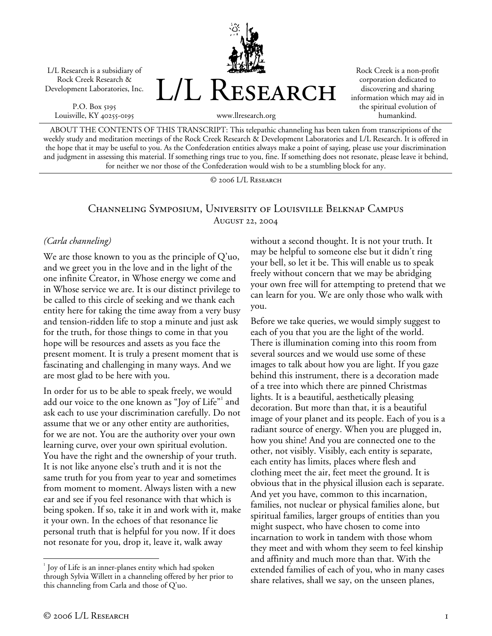L/L Research is a subsidiary of Rock Creek Research & Development Laboratories, Inc.

P.O. Box 5195 Louisville, KY 40255-0195



Rock Creek is a non-profit corporation dedicated to discovering and sharing information which may aid in the spiritual evolution of humankind.

ABOUT THE CONTENTS OF THIS TRANSCRIPT: This telepathic channeling has been taken from transcriptions of the weekly study and meditation meetings of the Rock Creek Research & Development Laboratories and L/L Research. It is offered in the hope that it may be useful to you. As the Confederation entities always make a point of saying, please use your discrimination and judgment in assessing this material. If something rings true to you, fine. If something does not resonate, please leave it behind, for neither we nor those of the Confederation would wish to be a stumbling block for any.

© 2006 L/L Research

## Channeling Symposium, University of Louisville Belknap Campus August 22, 2004

## *(Carla channeling)*

We are those known to you as the principle of Q'uo, and we greet you in the love and in the light of the one infinite Creator, in Whose energy we come and in Whose service we are. It is our distinct privilege to be called to this circle of seeking and we thank each entity here for taking the time away from a very busy and tension-ridden life to stop a minute and just ask for the truth, for those things to come in that you hope will be resources and assets as you face the present moment. It is truly a present moment that is fascinating and challenging in many ways. And we are most glad to be here with you.

In order for us to be able to speak freely, we would add our voice to the one known as "Joy of Life"<sup>1</sup> and ask each to use your discrimination carefully. Do not assume that we or any other entity are authorities, for we are not. You are the authority over your own learning curve, over your own spiritual evolution. You have the right and the ownership of your truth. It is not like anyone else's truth and it is not the same truth for you from year to year and sometimes from moment to moment. Always listen with a new ear and see if you feel resonance with that which is being spoken. If so, take it in and work with it, make it your own. In the echoes of that resonance lie personal truth that is helpful for you now. If it does not resonate for you, drop it, leave it, walk away

without a second thought. It is not your truth. It may be helpful to someone else but it didn't ring your bell, so let it be. This will enable us to speak freely without concern that we may be abridging your own free will for attempting to pretend that we can learn for you. We are only those who walk with you.

Before we take queries, we would simply suggest to each of you that you are the light of the world. There is illumination coming into this room from several sources and we would use some of these images to talk about how you are light. If you gaze behind this instrument, there is a decoration made of a tree into which there are pinned Christmas lights. It is a beautiful, aesthetically pleasing decoration. But more than that, it is a beautiful image of your planet and its people. Each of you is a radiant source of energy. When you are plugged in, how you shine! And you are connected one to the other, not visibly. Visibly, each entity is separate, each entity has limits, places where flesh and clothing meet the air, feet meet the ground. It is obvious that in the physical illusion each is separate. And yet you have, common to this incarnation, families, not nuclear or physical families alone, but spiritual families, larger groups of entities than you might suspect, who have chosen to come into incarnation to work in tandem with those whom they meet and with whom they seem to feel kinship and affinity and much more than that. With the extended families of each of you, who in many cases share relatives, shall we say, on the unseen planes,

 $\overline{a}$ 

 $1$  Joy of Life is an inner-planes entity which had spoken through Sylvia Willett in a channeling offered by her prior to this channeling from Carla and those of Q'uo.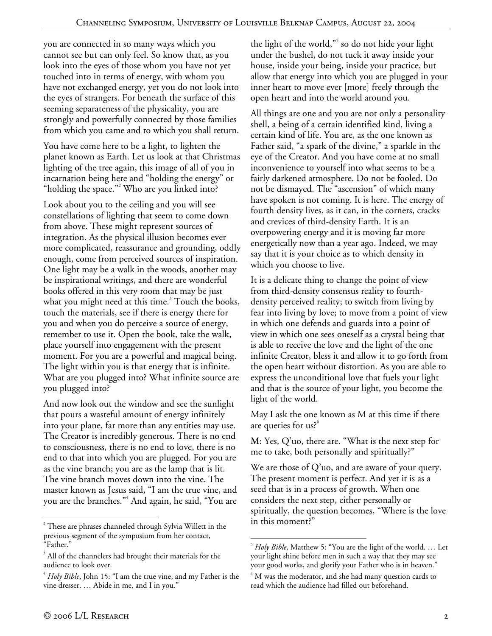you are connected in so many ways which you cannot see but can only feel. So know that, as you look into the eyes of those whom you have not yet touched into in terms of energy, with whom you have not exchanged energy, yet you do not look into the eyes of strangers. For beneath the surface of this seeming separateness of the physicality, you are strongly and powerfully connected by those families from which you came and to which you shall return.

You have come here to be a light, to lighten the planet known as Earth. Let us look at that Christmas lighting of the tree again, this image of all of you in incarnation being here and "holding the energy" or "holding the space."<sup>2</sup> Who are you linked into?

Look about you to the ceiling and you will see constellations of lighting that seem to come down from above. These might represent sources of integration. As the physical illusion becomes ever more complicated, reassurance and grounding, oddly enough, come from perceived sources of inspiration. One light may be a walk in the woods, another may be inspirational writings, and there are wonderful books offered in this very room that may be just what you might need at this time.<sup>3</sup> Touch the books, touch the materials, see if there is energy there for you and when you do perceive a source of energy, remember to use it. Open the book, take the walk, place yourself into engagement with the present moment. For you are a powerful and magical being. The light within you is that energy that is infinite. What are you plugged into? What infinite source are you plugged into?

And now look out the window and see the sunlight that pours a wasteful amount of energy infinitely into your plane, far more than any entities may use. The Creator is incredibly generous. There is no end to consciousness, there is no end to love, there is no end to that into which you are plugged. For you are as the vine branch; you are as the lamp that is lit. The vine branch moves down into the vine. The master known as Jesus said, "I am the true vine, and you are the branches."<sup>4</sup> And again, he said, "You are the light of the world,"<sup>5</sup> so do not hide your light under the bushel, do not tuck it away inside your house, inside your being, inside your practice, but allow that energy into which you are plugged in your inner heart to move ever [more] freely through the open heart and into the world around you.

All things are one and you are not only a personality shell, a being of a certain identified kind, living a certain kind of life. You are, as the one known as Father said, "a spark of the divine," a sparkle in the eye of the Creator. And you have come at no small inconvenience to yourself into what seems to be a fairly darkened atmosphere. Do not be fooled. Do not be dismayed. The "ascension" of which many have spoken is not coming. It is here. The energy of fourth density lives, as it can, in the corners, cracks and crevices of third-density Earth. It is an overpowering energy and it is moving far more energetically now than a year ago. Indeed, we may say that it is your choice as to which density in which you choose to live.

It is a delicate thing to change the point of view from third-density consensus reality to fourthdensity perceived reality; to switch from living by fear into living by love; to move from a point of view in which one defends and guards into a point of view in which one sees oneself as a crystal being that is able to receive the love and the light of the one infinite Creator, bless it and allow it to go forth from the open heart without distortion. As you are able to express the unconditional love that fuels your light and that is the source of your light, you become the light of the world.

May I ask the one known as M at this time if there are queries for us?<sup>6</sup>

**M:** Yes, Q'uo, there are. "What is the next step for me to take, both personally and spiritually?"

We are those of  $Q'$ uo, and are aware of your query. The present moment is perfect. And yet it is as a seed that is in a process of growth. When one considers the next step, either personally or spiritually, the question becomes, "Where is the love in this moment?"

 $\overline{a}$ 

 $2^2$  These are phrases channeled through Sylvia Willett in the previous segment of the symposium from her contact, "Father."

 $3$  All of the channelers had brought their materials for the audience to look over.

<sup>4</sup> *Holy Bible*, John 15: "I am the true vine, and my Father is the vine dresser. … Abide in me, and I in you."

<sup>&</sup>lt;u>.</u> 5 *Holy Bible*, Matthew 5: "You are the light of the world. … Let your light shine before men in such a way that they may see your good works, and glorify your Father who is in heaven." 6

<sup>&</sup>lt;sup>6</sup> M was the moderator, and she had many question cards to read which the audience had filled out beforehand.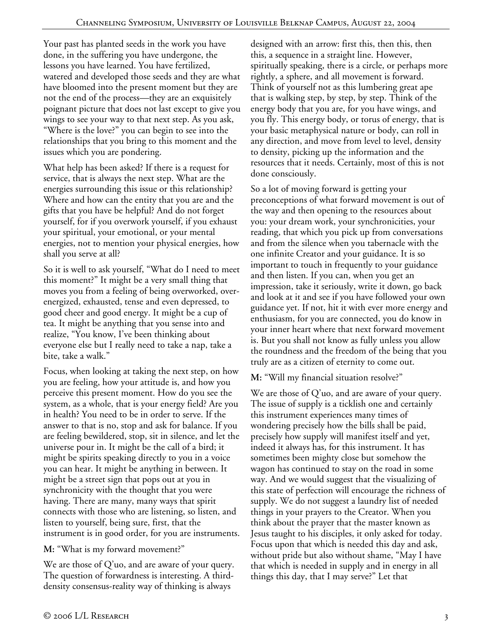Your past has planted seeds in the work you have done, in the suffering you have undergone, the lessons you have learned. You have fertilized, watered and developed those seeds and they are what have bloomed into the present moment but they are not the end of the process—they are an exquisitely poignant picture that does not last except to give you wings to see your way to that next step. As you ask, "Where is the love?" you can begin to see into the relationships that you bring to this moment and the issues which you are pondering.

What help has been asked? If there is a request for service, that is always the next step. What are the energies surrounding this issue or this relationship? Where and how can the entity that you are and the gifts that you have be helpful? And do not forget yourself, for if you overwork yourself, if you exhaust your spiritual, your emotional, or your mental energies, not to mention your physical energies, how shall you serve at all?

So it is well to ask yourself, "What do I need to meet this moment?" It might be a very small thing that moves you from a feeling of being overworked, overenergized, exhausted, tense and even depressed, to good cheer and good energy. It might be a cup of tea. It might be anything that you sense into and realize, "You know, I've been thinking about everyone else but I really need to take a nap, take a bite, take a walk."

Focus, when looking at taking the next step, on how you are feeling, how your attitude is, and how you perceive this present moment. How do you see the system, as a whole, that is your energy field? Are you in health? You need to be in order to serve. If the answer to that is no, stop and ask for balance. If you are feeling bewildered, stop, sit in silence, and let the universe pour in. It might be the call of a bird; it might be spirits speaking directly to you in a voice you can hear. It might be anything in between. It might be a street sign that pops out at you in synchronicity with the thought that you were having. There are many, many ways that spirit connects with those who are listening, so listen, and listen to yourself, being sure, first, that the instrument is in good order, for you are instruments.

**M:** "What is my forward movement?"

We are those of Q'uo, and are aware of your query. The question of forwardness is interesting. A thirddensity consensus-reality way of thinking is always

designed with an arrow: first this, then this, then this, a sequence in a straight line. However, spiritually speaking, there is a circle, or perhaps more rightly, a sphere, and all movement is forward. Think of yourself not as this lumbering great ape that is walking step, by step, by step. Think of the energy body that you are, for you have wings, and you fly. This energy body, or torus of energy, that is your basic metaphysical nature or body, can roll in any direction, and move from level to level, density to density, picking up the information and the resources that it needs. Certainly, most of this is not done consciously.

So a lot of moving forward is getting your preconceptions of what forward movement is out of the way and then opening to the resources about you: your dream work, your synchronicities, your reading, that which you pick up from conversations and from the silence when you tabernacle with the one infinite Creator and your guidance. It is so important to touch in frequently to your guidance and then listen. If you can, when you get an impression, take it seriously, write it down, go back and look at it and see if you have followed your own guidance yet. If not, hit it with ever more energy and enthusiasm, for you are connected, you do know in your inner heart where that next forward movement is. But you shall not know as fully unless you allow the roundness and the freedom of the being that you truly are as a citizen of eternity to come out.

**M:** "Will my financial situation resolve?"

We are those of  $Q'$ uo, and are aware of your query. The issue of supply is a ticklish one and certainly this instrument experiences many times of wondering precisely how the bills shall be paid, precisely how supply will manifest itself and yet, indeed it always has, for this instrument. It has sometimes been mighty close but somehow the wagon has continued to stay on the road in some way. And we would suggest that the visualizing of this state of perfection will encourage the richness of supply. We do not suggest a laundry list of needed things in your prayers to the Creator. When you think about the prayer that the master known as Jesus taught to his disciples, it only asked for today. Focus upon that which is needed this day and ask, without pride but also without shame, "May I have that which is needed in supply and in energy in all things this day, that I may serve?" Let that